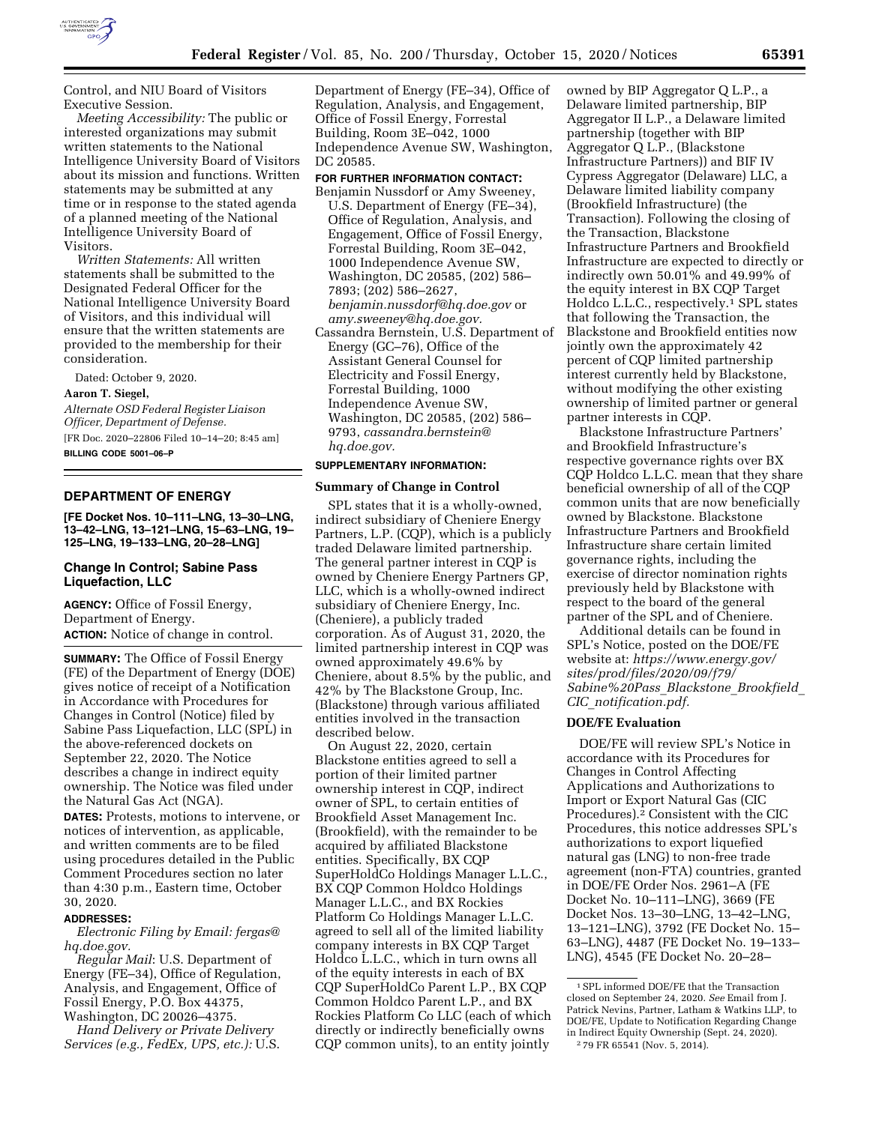

Control, and NIU Board of Visitors Executive Session.

*Meeting Accessibility:* The public or interested organizations may submit written statements to the National Intelligence University Board of Visitors about its mission and functions. Written statements may be submitted at any time or in response to the stated agenda of a planned meeting of the National Intelligence University Board of Visitors.

*Written Statements:* All written statements shall be submitted to the Designated Federal Officer for the National Intelligence University Board of Visitors, and this individual will ensure that the written statements are provided to the membership for their consideration.

Dated: October 9, 2020.

**Aaron T. Siegel,** 

*Alternate OSD Federal Register Liaison Officer, Department of Defense.* 

[FR Doc. 2020–22806 Filed 10–14–20; 8:45 am] **BILLING CODE 5001–06–P** 

### **DEPARTMENT OF ENERGY**

**[FE Docket Nos. 10–111–LNG, 13–30–LNG, 13–42–LNG, 13–121–LNG, 15–63–LNG, 19– 125–LNG, 19–133–LNG, 20–28–LNG]** 

## **Change In Control; Sabine Pass Liquefaction, LLC**

**AGENCY:** Office of Fossil Energy, Department of Energy. **ACTION:** Notice of change in control.

**SUMMARY:** The Office of Fossil Energy (FE) of the Department of Energy (DOE) gives notice of receipt of a Notification in Accordance with Procedures for Changes in Control (Notice) filed by Sabine Pass Liquefaction, LLC (SPL) in the above-referenced dockets on September 22, 2020. The Notice describes a change in indirect equity ownership. The Notice was filed under the Natural Gas Act (NGA).

**DATES:** Protests, motions to intervene, or notices of intervention, as applicable, and written comments are to be filed using procedures detailed in the Public Comment Procedures section no later than 4:30 p.m., Eastern time, October 30, 2020.

### **ADDRESSES:**

*Electronic Filing by Email: [fergas@](mailto:fergas@hq.doe.gov) [hq.doe.gov.](mailto:fergas@hq.doe.gov)* 

*Regular Mail*: U.S. Department of Energy (FE–34), Office of Regulation, Analysis, and Engagement, Office of Fossil Energy, P.O. Box 44375, Washington, DC 20026–4375.

*Hand Delivery or Private Delivery Services (e.g., FedEx, UPS, etc.):* U.S.

Department of Energy (FE–34), Office of Regulation, Analysis, and Engagement, Office of Fossil Energy, Forrestal Building, Room 3E–042, 1000 Independence Avenue SW, Washington, DC 20585.

#### **FOR FURTHER INFORMATION CONTACT:**

- Benjamin Nussdorf or Amy Sweeney, U.S. Department of Energy (FE–34), Office of Regulation, Analysis, and Engagement, Office of Fossil Energy, Forrestal Building, Room 3E–042, 1000 Independence Avenue SW, Washington, DC 20585, (202) 586– 7893; (202) 586–2627, *[benjamin.nussdorf@hq.doe.gov](mailto:benjamin.nussdorf@hq.doe.gov)* or *[amy.sweeney@hq.doe.gov.](mailto:amy.sweeney@hq.doe.gov)*
- Cassandra Bernstein, U.S. Department of Energy (GC–76), Office of the Assistant General Counsel for Electricity and Fossil Energy, Forrestal Building, 1000 Independence Avenue SW, Washington, DC 20585, (202) 586– 9793, *[cassandra.bernstein@](mailto:cassandra.bernstein@hq.doe.gov) [hq.doe.gov.](mailto:cassandra.bernstein@hq.doe.gov)*

# **SUPPLEMENTARY INFORMATION:**

### **Summary of Change in Control**

SPL states that it is a wholly-owned, indirect subsidiary of Cheniere Energy Partners, L.P. (CQP), which is a publicly traded Delaware limited partnership. The general partner interest in CQP is owned by Cheniere Energy Partners GP, LLC, which is a wholly-owned indirect subsidiary of Cheniere Energy, Inc. (Cheniere), a publicly traded corporation. As of August 31, 2020, the limited partnership interest in CQP was owned approximately 49.6% by Cheniere, about 8.5% by the public, and 42% by The Blackstone Group, Inc. (Blackstone) through various affiliated entities involved in the transaction described below.

On August 22, 2020, certain Blackstone entities agreed to sell a portion of their limited partner ownership interest in CQP, indirect owner of SPL, to certain entities of Brookfield Asset Management Inc. (Brookfield), with the remainder to be acquired by affiliated Blackstone entities. Specifically, BX CQP SuperHoldCo Holdings Manager L.L.C., BX CQP Common Holdco Holdings Manager L.L.C., and BX Rockies Platform Co Holdings Manager L.L.C. agreed to sell all of the limited liability company interests in BX CQP Target Holdco L.L.C., which in turn owns all of the equity interests in each of BX CQP SuperHoldCo Parent L.P., BX CQP Common Holdco Parent L.P., and BX Rockies Platform Co LLC (each of which directly or indirectly beneficially owns CQP common units), to an entity jointly

owned by BIP Aggregator Q L.P., a Delaware limited partnership, BIP Aggregator II L.P., a Delaware limited partnership (together with BIP Aggregator Q L.P., (Blackstone Infrastructure Partners)) and BIF IV Cypress Aggregator (Delaware) LLC, a Delaware limited liability company (Brookfield Infrastructure) (the Transaction). Following the closing of the Transaction, Blackstone Infrastructure Partners and Brookfield Infrastructure are expected to directly or indirectly own 50.01% and 49.99% of the equity interest in BX CQP Target Holdco L.L.C., respectively.1 SPL states that following the Transaction, the Blackstone and Brookfield entities now jointly own the approximately 42 percent of CQP limited partnership interest currently held by Blackstone, without modifying the other existing ownership of limited partner or general partner interests in CQP.

Blackstone Infrastructure Partners' and Brookfield Infrastructure's respective governance rights over BX CQP Holdco L.L.C. mean that they share beneficial ownership of all of the CQP common units that are now beneficially owned by Blackstone. Blackstone Infrastructure Partners and Brookfield Infrastructure share certain limited governance rights, including the exercise of director nomination rights previously held by Blackstone with respect to the board of the general partner of the SPL and of Cheniere.

Additional details can be found in SPL's Notice, posted on the DOE/FE website at: *[https://www.energy.gov/](https://www.energy.gov/sites/prod/files/2020/09/f79/Sabine%20Pass_Blackstone_Brookfield_CIC_notification.pdf) [sites/prod/files/2020/09/f79/](https://www.energy.gov/sites/prod/files/2020/09/f79/Sabine%20Pass_Blackstone_Brookfield_CIC_notification.pdf) [Sabine%20Pass](https://www.energy.gov/sites/prod/files/2020/09/f79/Sabine%20Pass_Blackstone_Brookfield_CIC_notification.pdf)*\_*Blackstone*\_*Brookfield*\_ *CIC*\_*[notification.pdf.](https://www.energy.gov/sites/prod/files/2020/09/f79/Sabine%20Pass_Blackstone_Brookfield_CIC_notification.pdf)* 

# **DOE/FE Evaluation**

DOE/FE will review SPL's Notice in accordance with its Procedures for Changes in Control Affecting Applications and Authorizations to Import or Export Natural Gas (CIC Procedures).2 Consistent with the CIC Procedures, this notice addresses SPL's authorizations to export liquefied natural gas (LNG) to non-free trade agreement (non-FTA) countries, granted in DOE/FE Order Nos. 2961–A (FE Docket No. 10–111–LNG), 3669 (FE Docket Nos. 13–30–LNG, 13–42–LNG, 13–121–LNG), 3792 (FE Docket No. 15– 63–LNG), 4487 (FE Docket No. 19–133– LNG), 4545 (FE Docket No. 20–28–

<sup>1</sup>SPL informed DOE/FE that the Transaction closed on September 24, 2020. *See* Email from J. Patrick Nevins, Partner, Latham & Watkins LLP, to DOE/FE, Update to Notification Regarding Change in Indirect Equity Ownership (Sept. 24, 2020). 2 79 FR 65541 (Nov. 5, 2014).